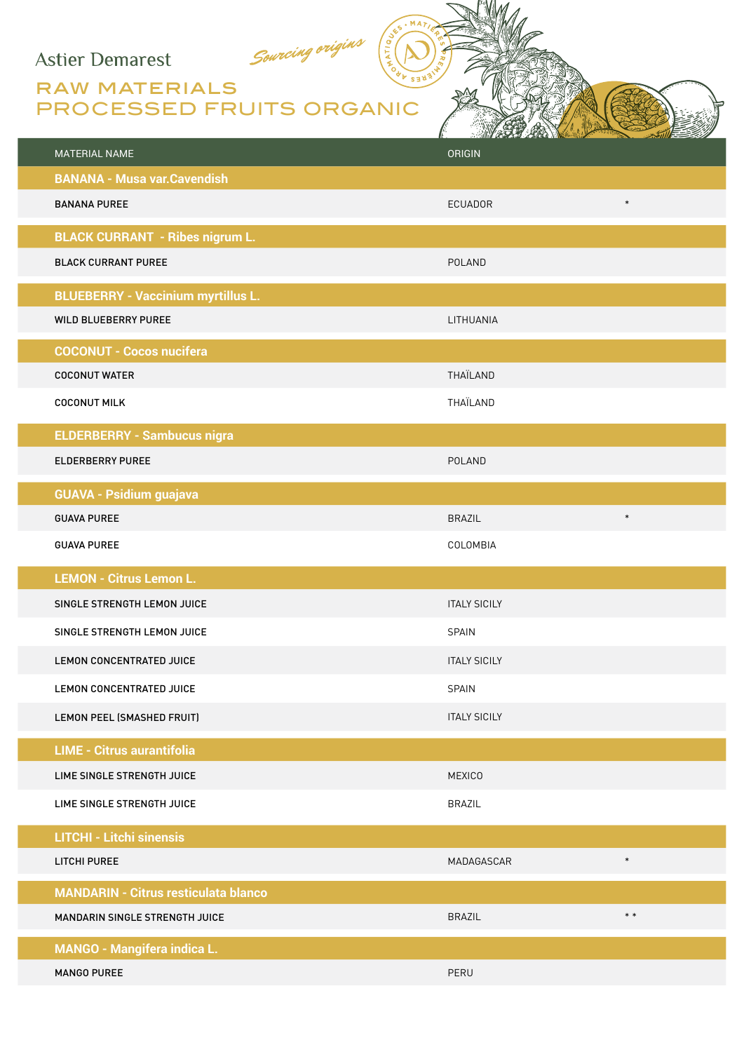## **Astier Demarest**

## RAW MATERIALS PROCESSED FRUITS ORGANIC

Sourcing origins

| <b>MATERIAL NAME</b>                        | THE WARRANT WAS CONTINUED FOR THE RESIDENCE.<br><b>ORIGIN</b> |
|---------------------------------------------|---------------------------------------------------------------|
| <b>BANANA - Musa var. Cavendish</b>         |                                                               |
| <b>BANANA PUREE</b>                         | $\ast$<br><b>ECUADOR</b>                                      |
| <b>BLACK CURRANT - Ribes nigrum L.</b>      |                                                               |
| <b>BLACK CURRANT PUREE</b>                  | POLAND                                                        |
| <b>BLUEBERRY - Vaccinium myrtillus L.</b>   |                                                               |
| WILD BLUEBERRY PUREE                        | LITHUANIA                                                     |
| <b>COCONUT - Cocos nucifera</b>             |                                                               |
| <b>COCONUT WATER</b>                        | THAÏLAND                                                      |
| <b>COCONUT MILK</b>                         | THAÏLAND                                                      |
| <b>ELDERBERRY - Sambucus nigra</b>          |                                                               |
| <b>ELDERBERRY PUREE</b>                     | POLAND                                                        |
| <b>GUAVA - Psidium guajava</b>              |                                                               |
| <b>GUAVA PUREE</b>                          | $\ast$<br><b>BRAZIL</b>                                       |
| <b>GUAVA PUREE</b>                          | COLOMBIA                                                      |
| <b>LEMON - Citrus Lemon L.</b>              |                                                               |
| SINGLE STRENGTH LEMON JUICE                 | <b>ITALY SICILY</b>                                           |
| SINGLE STRENGTH LEMON JUICE                 | <b>SPAIN</b>                                                  |
| LEMON CONCENTRATED JUICE                    | <b>ITALY SICILY</b>                                           |
| LEMON CONCENTRATED JUICE                    | <b>SPAIN</b>                                                  |
| LEMON PEEL (SMASHED FRUIT)                  | <b>ITALY SICILY</b>                                           |
| <b>LIME - Citrus aurantifolia</b>           |                                                               |
| LIME SINGLE STRENGTH JUICE                  | <b>MEXICO</b>                                                 |
| LIME SINGLE STRENGTH JUICE                  | <b>BRAZIL</b>                                                 |
| <b>LITCHI - Litchi sinensis</b>             |                                                               |
| LITCHI PUREE                                | $\ast$<br>MADAGASCAR                                          |
| <b>MANDARIN - Citrus resticulata blanco</b> |                                                               |
| MANDARIN SINGLE STRENGTH JUICE              | $\ast\,*$<br><b>BRAZIL</b>                                    |
| <b>MANGO - Mangifera indica L.</b>          |                                                               |
| <b>MANGO PUREE</b>                          | PERU                                                          |

 $. MA$